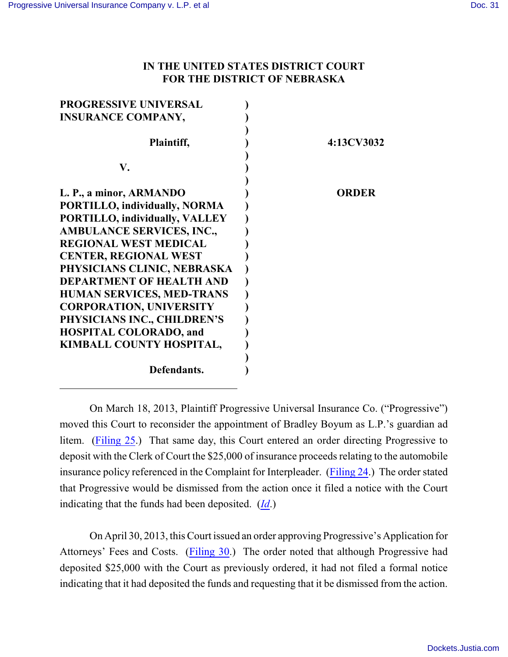## **IN THE UNITED STATES DISTRICT COURT FOR THE DISTRICT OF NEBRASKA**

| <b>PROGRESSIVE UNIVERSAL</b>          |              |
|---------------------------------------|--------------|
| <b>INSURANCE COMPANY,</b>             |              |
|                                       |              |
| Plaintiff,                            | 4:13CV3032   |
|                                       |              |
| V.                                    |              |
|                                       |              |
| L. P., a minor, ARMANDO               | <b>ORDER</b> |
| PORTILLO, individually, NORMA         |              |
| <b>PORTILLO, individually, VALLEY</b> |              |
| <b>AMBULANCE SERVICES, INC.,</b>      |              |
| <b>REGIONAL WEST MEDICAL</b>          |              |
| <b>CENTER, REGIONAL WEST</b>          |              |
| PHYSICIANS CLINIC, NEBRASKA           |              |
| <b>DEPARTMENT OF HEALTH AND</b>       |              |
| <b>HUMAN SERVICES, MED-TRANS</b>      |              |
| <b>CORPORATION, UNIVERSITY</b>        |              |
| PHYSICIANS INC., CHILDREN'S           |              |
| <b>HOSPITAL COLORADO, and</b>         |              |
| KIMBALL COUNTY HOSPITAL,              |              |
|                                       |              |
| Defendants.                           |              |
|                                       |              |

On March 18, 2013, Plaintiff Progressive Universal Insurance Co. ("Progressive") moved this Court to reconsider the appointment of Bradley Boyum as L.P.'s guardian ad litem. [\(Filing 25](https://ecf.ned.uscourts.gov/doc1/11312741223).) That same day, this Court entered an order directing Progressive to deposit with the Clerk of Court the \$25,000 of insurance proceeds relating to the automobile insurance policy referenced in the Complaint for Interpleader. [\(Filing 24](https://ecf.ned.uscourts.gov/doc1/11312741217).) The order stated that Progressive would be dismissed from the action once it filed a notice with the Court indicating that the funds had been deposited. (*[Id](https://ecf.ned.uscourts.gov/doc1/11312741217)*.)

On April 30, 2013, this Court issued an order approving Progressive's Application for Attorneys' Fees and Costs. [\(Filing 30](https://ecf.ned.uscourts.gov/doc1/11312771894).) The order noted that although Progressive had deposited \$25,000 with the Court as previously ordered, it had not filed a formal notice indicating that it had deposited the funds and requesting that it be dismissed from the action.